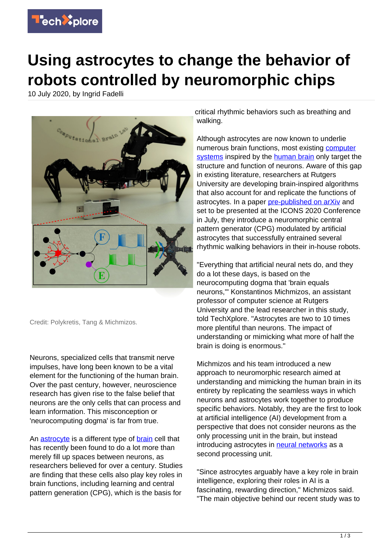

## **Using astrocytes to change the behavior of robots controlled by neuromorphic chips**

10 July 2020, by Ingrid Fadelli



Credit: Polykretis, Tang & Michmizos.

Neurons, specialized cells that transmit nerve impulses, have long been known to be a vital element for the functioning of the human brain. Over the past century, however, neuroscience research has given rise to the false belief that neurons are the only cells that can process and learn information. This misconception or 'neurocomputing dogma' is far from true.

An [astrocyte](https://techxplore.com/tags/astrocyte/) is a different type of [brain](https://techxplore.com/tags/brain/) cell that has recently been found to do a lot more than merely fill up spaces between neurons, as researchers believed for over a century. Studies are finding that these cells also play key roles in brain functions, including learning and central pattern generation (CPG), which is the basis for

critical rhythmic behaviors such as breathing and walking.

Although astrocytes are now known to underlie numerous brain functions, most existing [computer](https://techxplore.com/tags/computer+systems/) [systems](https://techxplore.com/tags/computer+systems/) inspired by the [human brain](https://techxplore.com/tags/human+brain/) only target the structure and function of neurons. Aware of this gap in existing literature, researchers at Rutgers University are developing brain-inspired algorithms that also account for and replicate the functions of astrocytes. In a paper [pre-published on arXiv](https://arxiv.org/abs/2006.04765) and set to be presented at the ICONS 2020 Conference in July, they introduce a neuromorphic central pattern generator (CPG) modulated by artificial astrocytes that successfully entrained several rhythmic walking behaviors in their in-house robots.

"Everything that artificial neural nets do, and they do a lot these days, is based on the neurocomputing dogma that 'brain equals neurons,'" Konstantinos Michmizos, an assistant professor of computer science at Rutgers University and the lead researcher in this study, told TechXplore. "Astrocytes are two to 10 times more plentiful than neurons. The impact of understanding or mimicking what more of half the brain is doing is enormous."

Michmizos and his team introduced a new approach to neuromorphic research aimed at understanding and mimicking the human brain in its entirety by replicating the seamless ways in which neurons and astrocytes work together to produce specific behaviors. Notably, they are the first to look at artificial intelligence (AI) development from a perspective that does not consider neurons as the only processing unit in the brain, but instead introducing astrocytes in [neural networks](https://techxplore.com/tags/neural+networks/) as a second processing unit.

"Since astrocytes arguably have a key role in brain intelligence, exploring their roles in AI is a fascinating, rewarding direction," Michmizos said. "The main objective behind our recent study was to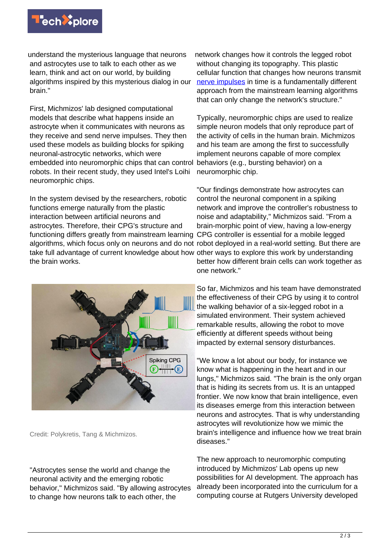

understand the mysterious language that neurons and astrocytes use to talk to each other as we learn, think and act on our world, by building algorithms inspired by this mysterious dialog in our brain."

First, Michmizos' lab designed computational models that describe what happens inside an astrocyte when it communicates with neurons as they receive and send nerve impulses. They then used these models as building blocks for spiking neuronal-astrocytic networks, which were embedded into neuromorphic chips that can control robots. In their recent study, they used Intel's Loihi neuromorphic chips.

In the system devised by the researchers, robotic functions emerge naturally from the plastic interaction between artificial neurons and astrocytes. Therefore, their CPG's structure and functioning differs greatly from mainstream learning CPG controller is essential for a mobile legged algorithms, which focus only on neurons and do not robot deployed in a real-world setting. But there are take full advantage of current knowledge about how other ways to explore this work by understanding the brain works.



Credit: Polykretis, Tang & Michmizos.

"Astrocytes sense the world and change the neuronal activity and the emerging robotic behavior," Michmizos said. "By allowing astrocytes to change how neurons talk to each other, the

network changes how it controls the legged robot without changing its topography. This plastic cellular function that changes how neurons transmit [nerve impulses](https://techxplore.com/tags/nerve+impulses/) in time is a fundamentally different approach from the mainstream learning algorithms that can only change the network's structure."

Typically, neuromorphic chips are used to realize simple neuron models that only reproduce part of the activity of cells in the human brain. Michmizos and his team are among the first to successfully implement neurons capable of more complex behaviors (e.g., bursting behavior) on a neuromorphic chip.

"Our findings demonstrate how astrocytes can control the neuronal component in a spiking network and improve the controller's robustness to noise and adaptability," Michmizos said. "From a brain-morphic point of view, having a low-energy better how different brain cells can work together as one network."

So far, Michmizos and his team have demonstrated the effectiveness of their CPG by using it to control the walking behavior of a six-legged robot in a simulated environment. Their system achieved remarkable results, allowing the robot to move efficiently at different speeds without being impacted by external sensory disturbances.

"We know a lot about our body, for instance we know what is happening in the heart and in our lungs," Michmizos said. "The brain is the only organ that is hiding its secrets from us. It is an untapped frontier. We now know that brain intelligence, even its diseases emerge from this interaction between neurons and astrocytes. That is why understanding astrocytes will revolutionize how we mimic the brain's intelligence and influence how we treat brain diseases."

The new approach to neuromorphic computing introduced by Michmizos' Lab opens up new possibilities for AI development. The approach has already been incorporated into the curriculum for a computing course at Rutgers University developed